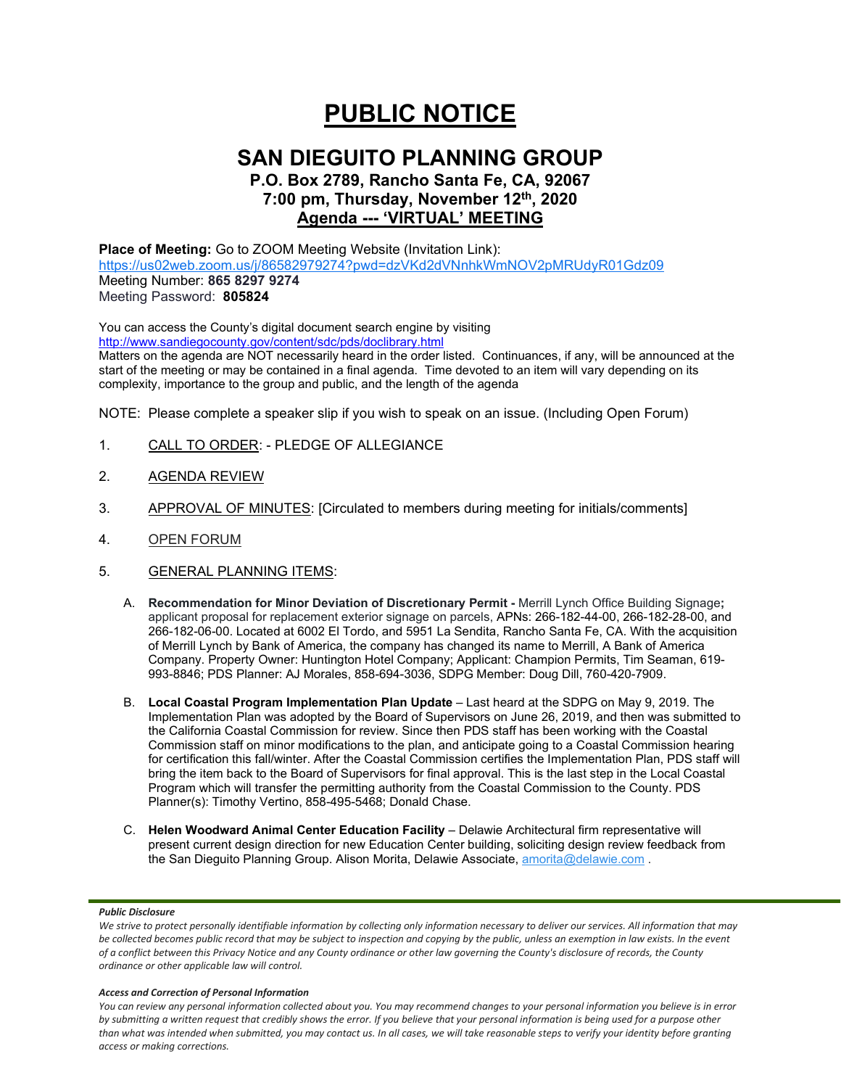# **PUBLIC NOTICE**

## **SAN DIEGUITO PLANNING GROUP**

## **P.O. Box 2789, Rancho Santa Fe, CA, 92067 7:00 pm, Thursday, November 12th, 2020 Agenda --- 'VIRTUAL' MEETING**

**Place of Meeting:** Go to ZOOM Meeting Website (Invitation Link): <https://us02web.zoom.us/j/86582979274?pwd=dzVKd2dVNnhkWmNOV2pMRUdyR01Gdz09> Meeting Number: **865 8297 9274** Meeting Password: **805824**

You can access the County's digital document search engine by visiting <http://www.sandiegocounty.gov/content/sdc/pds/doclibrary.html>

Matters on the agenda are NOT necessarily heard in the order listed. Continuances, if any, will be announced at the start of the meeting or may be contained in a final agenda. Time devoted to an item will vary depending on its complexity, importance to the group and public, and the length of the agenda

NOTE: Please complete a speaker slip if you wish to speak on an issue. (Including Open Forum)

- 1. CALL TO ORDER: PLEDGE OF ALLEGIANCE
- 2. AGENDA REVIEW
- 3. APPROVAL OF MINUTES: [Circulated to members during meeting for initials/comments]
- 4. OPEN FORUM
- 5. GENERAL PLANNING ITEMS:
	- A. **Recommendation for Minor Deviation of Discretionary Permit -** Merrill Lynch Office Building Signage**;** applicant proposal for replacement exterior signage on parcels, APNs: 266-182-44-00, 266-182-28-00, and 266-182-06-00. Located at 6002 El Tordo, and 5951 La Sendita, Rancho Santa Fe, CA. With the acquisition of Merrill Lynch by Bank of America, the company has changed its name to Merrill, A Bank of America Company. Property Owner: Huntington Hotel Company; Applicant: Champion Permits, Tim Seaman, 619- 993-8846; PDS Planner: AJ Morales, 858-694-3036, SDPG Member: Doug Dill, 760-420-7909.
	- B. **Local Coastal Program Implementation Plan Update** Last heard at the SDPG on [May 9, 2019.](https://www.sandiegocounty.gov/content/dam/sdc/pds/Groups/sandieguito/2019_Agendas_Minutes/SD190509AG.pdf) The Implementation Plan was adopted by the Board of Supervisors on June 26, 2019, and then was submitted to the California Coastal Commission for review. Since then PDS staff has been working with the Coastal Commission staff on minor modifications to the plan, and anticipate going to a Coastal Commission hearing for certification this fall/winter. After the Coastal Commission certifies the Implementation Plan, PDS staff will bring the item back to the Board of Supervisors for final approval. This is the last step in the Local Coastal Program which will transfer the permitting authority from the Coastal Commission to the County. PDS Planner(s): Timothy Vertino, 858-495-5468; Donald Chase.
	- C. **Helen Woodward Animal Center Education Facility** Delawie Architectural firm representative will present current design direction for new Education Center building, soliciting design review feedback from the San Dieguito Planning Group. Alison Morita, Delawie Associate, [amorita@delawie.com](mailto:amorita@delawie.com).

## *Public Disclosure*

### *Access and Correction of Personal Information*

*You can review any personal information collected about you. You may recommend changes to your personal information you believe is in error by submitting a written request that credibly shows the error. If you believe that your personal information is being used for a purpose other than what was intended when submitted, you may contact us. In all cases, we will take reasonable steps to verify your identity before granting access or making corrections.*

We strive to protect personally identifiable information by collecting only information necessary to deliver our services. All information that may *be collected becomes public record that may be subject to inspection and copying by the public, unless an exemption in law exists. In the event of a conflict between this Privacy Notice and any County ordinance or other law governing the County's disclosure of records, the County ordinance or other applicable law will control.*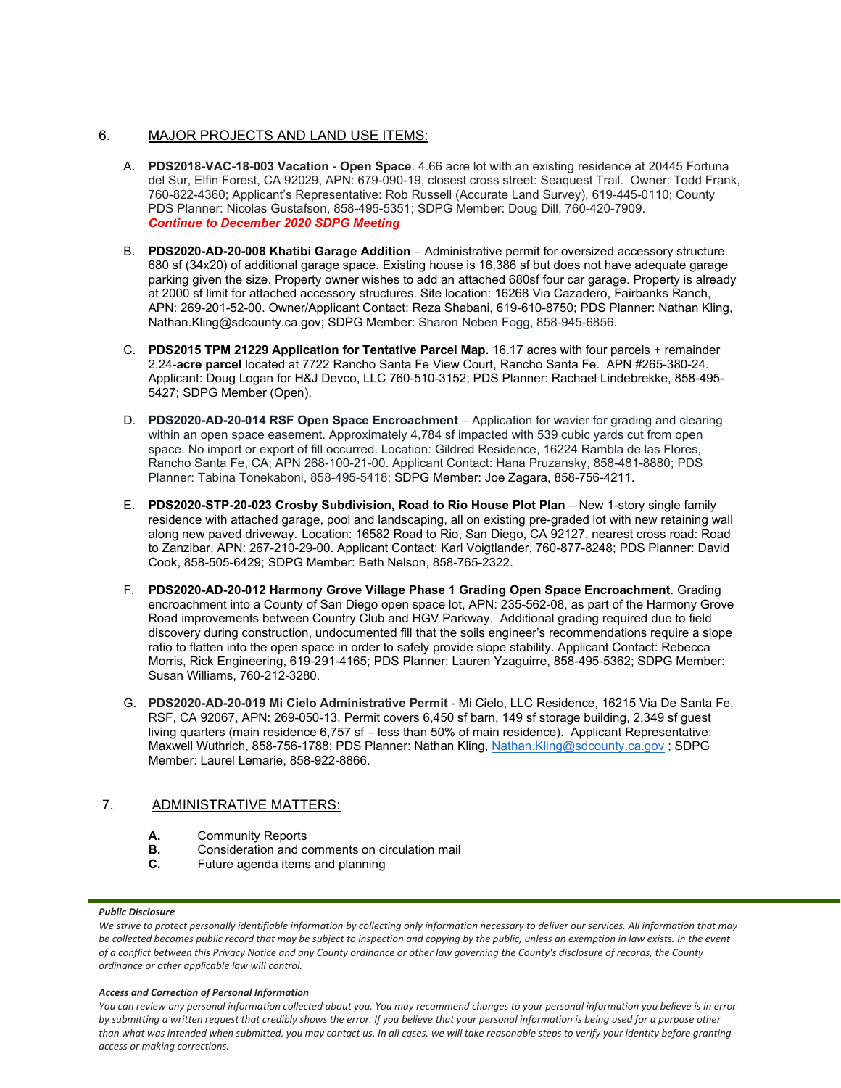## 6. MAJOR PROJECTS AND LAND USE ITEMS:

- A. **PDS2018-VAC-18-003 Vacation - Open Space**. 4.66 acre lot with an existing residence at 20445 Fortuna del Sur, Elfin Forest, CA 92029, APN: 679-090-19, closest cross street: Seaquest Trail. Owner: Todd Frank, 760-822-4360; Applicant's Representative: Rob Russell (Accurate Land Survey), 619-445-0110; County PDS Planner: Nicolas Gustafson, 858-495-5351; SDPG Member: Doug Dill, 760-420-7909. *Continue to December 2020 SDPG Meeting*
- B. **PDS2020-AD-20-008 Khatibi Garage Addition** Administrative permit for oversized accessory structure. 680 sf (34x20) of additional garage space. Existing house is 16,386 sf but does not have adequate garage parking given the size. Property owner wishes to add an attached 680sf four car garage. Property is already at 2000 sf limit for attached accessory structures. Site location: 16268 Via Cazadero, Fairbanks Ranch, APN: 269-201-52-00. Owner/Applicant Contact: Reza Shabani, 619-610-8750; PDS Planner: Nathan Kling, Nathan.Kling@sdcounty.ca.gov; SDPG Member: Sharon Neben Fogg, 858-945-6856.
- C. **PDS2015 TPM 21229 Application for Tentative Parcel Map.** 16.17 acres with four parcels + remainder 2.24-**acre parcel** located at 7722 Rancho Santa Fe View Court, Rancho Santa Fe. APN #265-380-24. Applicant: Doug Logan for H&J Devco, LLC 760-510-3152; PDS Planner: Rachael Lindebrekke, 858-495- 5427; SDPG Member (Open).
- D. **PDS2020-AD-20-014 RSF Open Space Encroachment** Application for wavier for grading and clearing within an open space easement. Approximately 4,784 sf impacted with 539 cubic yards cut from open space. No import or export of fill occurred. Location: Gildred Residence, 16224 Rambla de las Flores, Rancho Santa Fe, CA; APN 268-100-21-00. Applicant Contact: Hana Pruzansky, 858-481-8880; PDS Planner: Tabina Tonekaboni, 858-495-5418; SDPG Member: Joe Zagara, 858-756-4211.
- E. **PDS2020-STP-20-023 Crosby Subdivision, Road to Rio House Plot Plan** New 1-story single family residence with attached garage, pool and landscaping, all on existing pre-graded lot with new retaining wall along new paved driveway. Location: 16582 Road to Rio, San Diego, CA 92127, nearest cross road: Road to Zanzibar, APN: 267-210-29-00. Applicant Contact: Karl Voigtlander, 760-877-8248; PDS Planner: David Cook, 858-505-6429; SDPG Member: Beth Nelson, 858-765-2322.
- F. **PDS2020-AD-20-012 Harmony Grove Village Phase 1 Grading Open Space Encroachment**. Grading encroachment into a County of San Diego open space lot, APN: 235-562-08, as part of the Harmony Grove Road improvements between Country Club and HGV Parkway. Additional grading required due to field discovery during construction, undocumented fill that the soils engineer's recommendations require a slope ratio to flatten into the open space in order to safely provide slope stability. Applicant Contact: Rebecca Morris, Rick Engineering, 619-291-4165; PDS Planner: Lauren Yzaguirre, 858-495-5362; SDPG Member: Susan Williams, 760-212-3280.
- G. **PDS2020-AD-20-019 Mi Cielo Administrative Permit** Mi Cielo, LLC Residence, 16215 Via De Santa Fe, RSF, CA 92067, APN: 269-050-13. Permit covers 6,450 sf barn, 149 sf storage building, 2,349 sf guest living quarters (main residence 6,757 sf – less than 50% of main residence). Applicant Representative: Maxwell Wuthrich, 858-756-1788; PDS Planner: Nathan Kling, [Nathan.Kling@sdcounty.ca.gov](mailto:Nathan.Kling@sdcounty.ca.gov); SDPG Member: Laurel Lemarie, 858-922-8866.

## 7. ADMINISTRATIVE MATTERS:

- **A.** Community Reports<br>**B.** Consideration and com-
- **B.** Consideration and comments on circulation mail<br>**C.** Future agenda items and planning
- **C.** Future agenda items and planning

## *Public Disclosure*

### *Access and Correction of Personal Information*

*You can review any personal information collected about you. You may recommend changes to your personal information you believe is in error by submitting a written request that credibly shows the error. If you believe that your personal information is being used for a purpose other than what was intended when submitted, you may contact us. In all cases, we will take reasonable steps to verify your identity before granting access or making corrections.*

We strive to protect personally identifiable information by collecting only information necessary to deliver our services. All information that may *be collected becomes public record that may be subject to inspection and copying by the public, unless an exemption in law exists. In the event of a conflict between this Privacy Notice and any County ordinance or other law governing the County's disclosure of records, the County ordinance or other applicable law will control.*